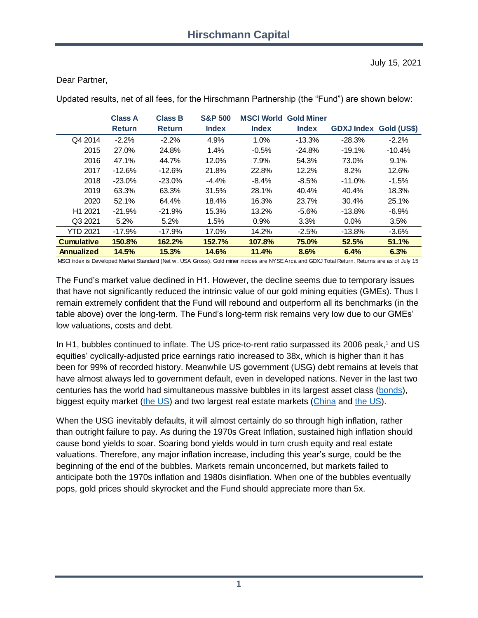#### Dear Partner,

|                     | <b>Class A</b> | <b>Class B</b> | <b>S&amp;P 500</b> | <b>MSCI World</b> | <b>Gold Miner</b> |                               |          |
|---------------------|----------------|----------------|--------------------|-------------------|-------------------|-------------------------------|----------|
|                     | <b>Return</b>  | <b>Return</b>  | <b>Index</b>       | <b>Index</b>      | <b>Index</b>      | <b>GDXJ Index Gold (US\$)</b> |          |
| Q4 2014             | $-2.2%$        | $-2.2%$        | 4.9%               | 1.0%              | $-13.3%$          | $-28.3%$                      | $-2.2%$  |
| 2015                | 27.0%          | 24.8%          | 1.4%               | $-0.5%$           | $-24.8%$          | $-19.1%$                      | $-10.4%$ |
| 2016                | 47.1%          | 44.7%          | 12.0%              | 7.9%              | 54.3%             | 73.0%                         | 9.1%     |
| 2017                | $-12.6%$       | $-12.6%$       | 21.8%              | 22.8%             | 12.2%             | 8.2%                          | 12.6%    |
| 2018                | $-23.0%$       | $-23.0%$       | $-4.4%$            | $-8.4%$           | $-8.5\%$          | $-11.0%$                      | $-1.5%$  |
| 2019                | 63.3%          | 63.3%          | 31.5%              | 28.1%             | 40.4%             | 40.4%                         | 18.3%    |
| 2020                | 52.1%          | 64.4%          | 18.4%              | 16.3%             | 23.7%             | 30.4%                         | 25.1%    |
| H <sub>1</sub> 2021 | $-21.9%$       | $-21.9%$       | 15.3%              | 13.2%             | $-5.6%$           | $-13.8%$                      | $-6.9%$  |
| Q3 2021             | 5.2%           | 5.2%           | 1.5%               | 0.9%              | 3.3%              | $0.0\%$                       | 3.5%     |
| <b>YTD 2021</b>     | $-17.9%$       | $-17.9%$       | 17.0%              | 14.2%             | $-2.5%$           | $-13.8%$                      | $-3.6%$  |
| <b>Cumulative</b>   | 150.8%         | 162.2%         | 152.7%             | 107.8%            | 75.0%             | 52.5%                         | 51.1%    |
| <b>Annualized</b>   | 14.5%          | 15.3%          | 14.6%              | 11.4%             | 8.6%              | 6.4%                          | 6.3%     |

Updated results, net of all fees, for the Hirschmann Partnership (the "Fund") are shown below:

MSCI Index is Developed Market Standard (Net w . USA Gross). Gold miner indices are NYSE Arca and GDXJ Total Return. Returns are as of July 15

The Fund's market value declined in H1. However, the decline seems due to temporary issues that have not significantly reduced the intrinsic value of our gold mining equities (GMEs). Thus I remain extremely confident that the Fund will rebound and outperform all its benchmarks (in the table above) over the long-term. The Fund's long-term risk remains very low due to our GMEs' low valuations, costs and debt.

In H1, bubbles continued to inflate. The US price-to-rent ratio surpassed its 2006 peak,<sup>1</sup> and US equities' cyclically-adjusted price earnings ratio increased to 38x, which is higher than it has been for 99% of recorded history. Meanwhile US government (USG) debt remains at levels that have almost always led to government default, even in developed nations. Never in the last two centuries has the world had simultaneous massive bubbles in its largest asset class [\(bonds\)](https://6a29c7c5-4d35-4429-8c98-d306824aff19.filesusr.com/ugd/dc7287_15b99549af024013a0a0d377065bf39f.pdf), biggest equity market [\(the US\)](https://6a29c7c5-4d35-4429-8c98-d306824aff19.filesusr.com/ugd/dc7287_0b510603694043fca0b80f7eeb59d776.pdf?index=true) and two largest real estate markets [\(China](#page-2-0) and [the US\)](https://6a29c7c5-4d35-4429-8c98-d306824aff19.filesusr.com/ugd/dc7287_f68929ee65a744e2be8c7fc6eeee8280.pdf).

When the USG inevitably defaults, it will almost certainly do so through high inflation, rather than outright failure to pay. As during the 1970s Great Inflation, sustained high inflation should cause bond yields to soar. Soaring bond yields would in turn crush equity and real estate valuations. Therefore, any major inflation increase, including this year's surge, could be the beginning of the end of the bubbles. Markets remain unconcerned, but markets failed to anticipate both the 1970s inflation and 1980s disinflation. When one of the bubbles eventually pops, gold prices should skyrocket and the Fund should appreciate more than 5x.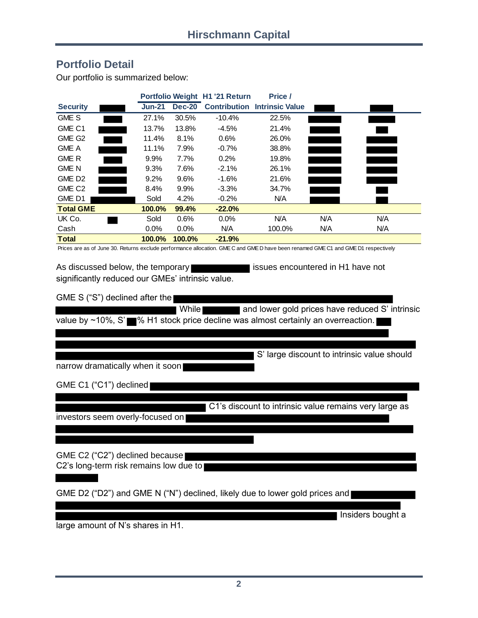### **Portfolio Detail**

Our portfolio is summarized below:

| Our portfolio is summarized below:                                                                                                 |               |               |                                |                                     |     |     |  |  |  |  |  |
|------------------------------------------------------------------------------------------------------------------------------------|---------------|---------------|--------------------------------|-------------------------------------|-----|-----|--|--|--|--|--|
|                                                                                                                                    |               |               | Portfolio Weight H1 '21 Return | Price /                             |     |     |  |  |  |  |  |
| <b>Security</b>                                                                                                                    | <b>Jun-21</b> | <b>Dec-20</b> |                                | <b>Contribution Intrinsic Value</b> |     |     |  |  |  |  |  |
| <b>GME S</b>                                                                                                                       | 27.1%         | 30.5%         | $-10.4\%$                      | 22.5%                               |     |     |  |  |  |  |  |
| GME C1                                                                                                                             | 13.7%         | 13.8%         | $-4.5%$                        | 21.4%                               |     |     |  |  |  |  |  |
| GME G <sub>2</sub>                                                                                                                 | 11.4%         | 8.1%          | 0.6%                           | 26.0%                               |     |     |  |  |  |  |  |
| <b>GME A</b>                                                                                                                       | 11.1%         | 7.9%          | $-0.7%$                        | 38.8%                               |     |     |  |  |  |  |  |
| <b>GME R</b>                                                                                                                       | $9.9\%$       | 7.7%          | 0.2%                           | 19.8%                               |     |     |  |  |  |  |  |
| <b>GME N</b>                                                                                                                       | $9.3\%$       | 7.6%          | $-2.1%$                        | 26.1%                               |     |     |  |  |  |  |  |
| GME D <sub>2</sub>                                                                                                                 | $9.2\%$       | 9.6%          | $-1.6%$                        | 21.6%                               |     |     |  |  |  |  |  |
| GME C <sub>2</sub>                                                                                                                 | $8.4\%$       | $9.9\%$       | $-3.3\%$                       | 34.7%                               |     |     |  |  |  |  |  |
| GME D1                                                                                                                             | Sold          | 4.2%          | $-0.2%$                        | N/A                                 |     |     |  |  |  |  |  |
| <b>Total GME</b>                                                                                                                   | 100.0%        | 99.4%         | $-22.0%$                       |                                     |     |     |  |  |  |  |  |
| UK Co.                                                                                                                             | Sold          | 0.6%          | $0.0\%$                        | <b>N/A</b>                          | N/A | N/A |  |  |  |  |  |
| Cash                                                                                                                               | $0.0\%$       | $0.0\%$       | N/A                            | 100.0%                              | N/A | N/A |  |  |  |  |  |
| <b>Total</b>                                                                                                                       | 100.0%        | 100.0%        | $-21.9%$                       |                                     |     |     |  |  |  |  |  |
| Prices are as of June 30. Returns exclude performance allocation. GME C and GME D have been renamed GME C1 and GME D1 respectively |               |               |                                |                                     |     |     |  |  |  |  |  |

As discussed below, the temporary **interest in Section** issues encountered in H1 have not significantly reduced our GMEs' intrinsic value.

GME S ("S") declined after the

While **and lower gold prices have reduced S' intrinsic** value by  $\sim$ 10%, S' $\blacksquare$ % H1 stock price decline was almost certainly an overreaction.

narrow dramatically when it soon

GME C1 ("C1") declined

C1's discount to intrinsic value remains very large as

S' large discount to intrinsic value should

investors seem overly-focused on

GME C2 ("C2") declined because C2's long-term risk remains low due to

GME D2 ("D2") and GME N ("N") declined, likely due to lower gold prices and

Insiders bought a

large amount of N's shares in H1.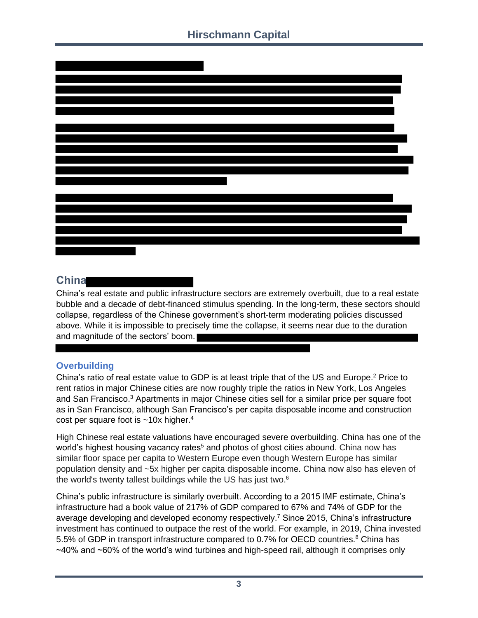

## <span id="page-2-0"></span>**China**

China's real estate and public infrastructure sectors are extremely overbuilt, due to a real estate bubble and a decade of debt-financed stimulus spending. In the long-term, these sectors should collapse, regardless of the Chinese government's short-term moderating policies discussed above. While it is impossible to precisely time the collapse, it seems near due to the duration and magnitude of the sectors' boom.

### **Overbuilding**

China's ratio of real estate value to GDP is at least triple that of the US and Europe.<sup>2</sup> Price to rent ratios in major Chinese cities are now roughly triple the ratios in New York, Los Angeles and San Francisco.<sup>3</sup> Apartments in major Chinese cities sell for a similar price per square foot as in San Francisco, although San Francisco's per capita disposable income and construction cost per square foot is  $\sim$ 10x higher.<sup>4</sup>

High Chinese real estate valuations have encouraged severe overbuilding. China has one of the world's highest housing vacancy rates<sup>5</sup> and photos of ghost cities abound. China now has similar floor space per capita to Western Europe even though Western Europe has similar population density and ~5x higher per capita disposable income. China now also has eleven of the world's twenty tallest buildings while the US has just two.<sup>6</sup>

China's public infrastructure is similarly overbuilt. According to a 2015 IMF estimate, China's infrastructure had a book value of 217% of GDP compared to 67% and 74% of GDP for the average developing and developed economy respectively. <sup>7</sup> Since 2015, China's infrastructure investment has continued to outpace the rest of the world. For example, in 2019, China invested 5.5% of GDP in transport infrastructure compared to 0.7% for OECD countries.<sup>8</sup> China has  $\sim$ 40% and  $\sim$ 60% of the world's wind turbines and high-speed rail, although it comprises only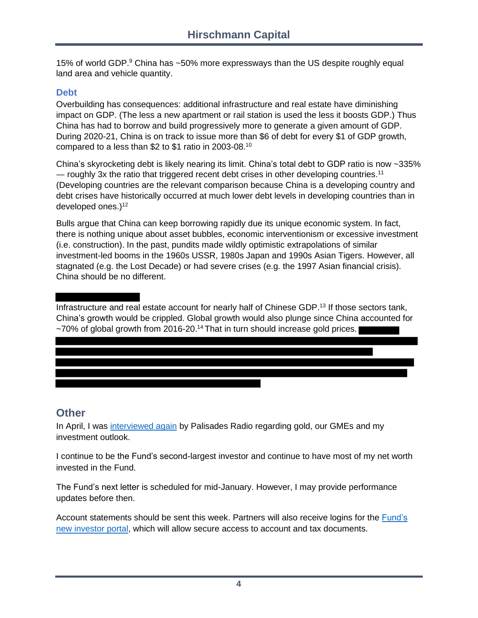15% of world GDP.<sup>9</sup> China has ~50% more expressways than the US despite roughly equal land area and vehicle quantity.

#### **Debt**

Overbuilding has consequences: additional infrastructure and real estate have diminishing impact on GDP. (The less a new apartment or rail station is used the less it boosts GDP.) Thus China has had to borrow and build progressively more to generate a given amount of GDP. During 2020-21, China is on track to issue more than \$6 of debt for every \$1 of GDP growth, compared to a less than \$2 to \$1 ratio in 2003-08.<sup>10</sup>

China's skyrocketing debt is likely nearing its limit. China's total debt to GDP ratio is now ~335%  $-$  roughly 3x the ratio that triggered recent debt crises in other developing countries.<sup>11</sup> (Developing countries are the relevant comparison because China is a developing country and debt crises have historically occurred at much lower debt levels in developing countries than in developed ones.) 12

Bulls argue that China can keep borrowing rapidly due its unique economic system. In fact, there is nothing unique about asset bubbles, economic interventionism or excessive investment (i.e. construction). In the past, pundits made wildly optimistic extrapolations of similar investment-led booms in the 1960s USSR, 1980s Japan and 1990s Asian Tigers. However, all stagnated (e.g. the Lost Decade) or had severe crises (e.g. the 1997 Asian financial crisis). China should be no different.

#### Infrastructure and real estate account for nearly half of Chinese GDP. <sup>13</sup> If those sectors tank, China's growth would be crippled. Global growth would also plunge since China accounted for ~70% of global growth from 2016-20.<sup>14</sup> That in turn should increase gold prices.

# **Other**

In April, I was [interviewed again](https://www.hcapital.llc/media) by Palisades Radio regarding gold, our GMEs and my investment outlook.

I continue to be the Fund's second-largest investor and continue to have most of my net worth invested in the Fund.

The Fund's next letter is scheduled for mid-January. However, I may provide performance updates before then.

Account statements should be sent this week. Partners will also receive logins for the [Fund's](https://www.navconsulting.net/NavPortal/default.aspx)  [new investor portal,](https://www.navconsulting.net/NavPortal/default.aspx) which will allow secure access to account and tax documents.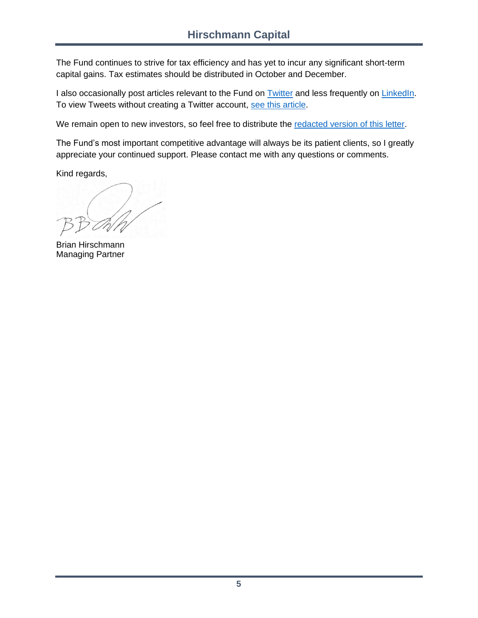The Fund continues to strive for tax efficiency and has yet to incur any significant short-term capital gains. Tax estimates should be distributed in October and December.

I also occasionally post articles relevant to the Fund on [Twitter](https://twitter.com/HCapitalLLC) and less frequently on [LinkedIn.](https://www.linkedin.com/in/brianhirschmann) To view Tweets without creating a Twitter account, [see this article.](https://www.nytimes.com/2018/02/14/technology/personaltech/twitter-without-account-.html)

We remain open to new investors, so feel free to distribute the [redacted version of this letter.](https://www.hcapital.llc/public-letters)

The Fund's most important competitive advantage will always be its patient clients, so I greatly appreciate your continued support. Please contact me with any questions or comments.

Kind regards,

Brian Hirschmann Managing Partner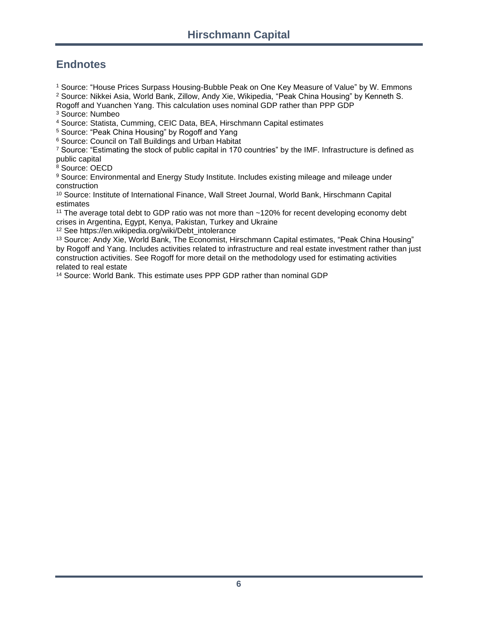## **Endnotes**

<sup>1</sup> Source: "House Prices Surpass Housing-Bubble Peak on One Key Measure of Value" by W. Emmons

<sup>2</sup> Source: Nikkei Asia, World Bank, Zillow, Andy Xie, Wikipedia, "Peak China Housing" by Kenneth S. Rogoff and Yuanchen Yang. This calculation uses nominal GDP rather than PPP GDP

<sup>3</sup> Source: Numbeo

<sup>4</sup> Source: Statista, Cumming, CEIC Data, BEA, Hirschmann Capital estimates

<sup>5</sup> Source: "Peak China Housing" by Rogoff and Yang

<sup>6</sup> Source: Council on Tall Buildings and Urban Habitat

<sup>7</sup> Source: "Estimating the stock of public capital in 170 countries" by the IMF. Infrastructure is defined as public capital

<sup>8</sup> Source: OECD

9 Source: Environmental and Energy Study Institute. Includes existing mileage and mileage under construction

<sup>10</sup> Source: Institute of International Finance, Wall Street Journal, World Bank, Hirschmann Capital estimates

<sup>11</sup> The average total debt to GDP ratio was not more than ~120% for recent developing economy debt crises in Argentina, Egypt, Kenya, Pakistan, Turkey and Ukraine

<sup>12</sup> See https://en.wikipedia.org/wiki/Debt\_intolerance

<sup>13</sup> Source: Andy Xie, World Bank, The Economist, Hirschmann Capital estimates, "Peak China Housing" by Rogoff and Yang. Includes activities related to infrastructure and real estate investment rather than just construction activities. See Rogoff for more detail on the methodology used for estimating activities related to real estate

<sup>14</sup> Source: World Bank. This estimate uses PPP GDP rather than nominal GDP